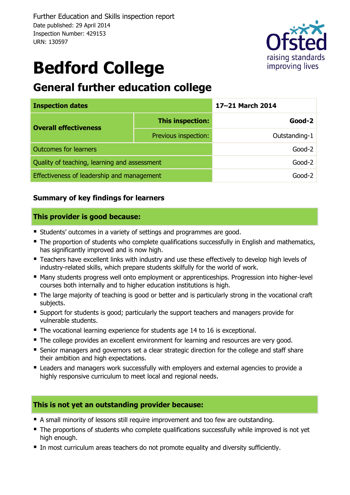

# **Bedford College**

### **General further education college**

| <b>Inspection dates</b>                      |                      | 17-21 March 2014 |  |
|----------------------------------------------|----------------------|------------------|--|
| <b>Overall effectiveness</b>                 | This inspection:     | $Good-2$         |  |
|                                              | Previous inspection: | Outstanding-1    |  |
| <b>Outcomes for learners</b>                 | $Good-2$             |                  |  |
| Quality of teaching, learning and assessment | $Good-2$             |                  |  |
| Effectiveness of leadership and management   |                      | Good-2           |  |

#### **Summary of key findings for learners**

#### **This provider is good because:**

- **Students' outcomes in a variety of settings and programmes are good.**
- The proportion of students who complete qualifications successfully in English and mathematics, has significantly improved and is now high.
- **Teachers have excellent links with industry and use these effectively to develop high levels of** industry-related skills, which prepare students skilfully for the world of work.
- Many students progress well onto employment or apprenticeships. Progression into higher-level courses both internally and to higher education institutions is high.
- The large majority of teaching is good or better and is particularly strong in the vocational craft subjects.
- Support for students is good; particularly the support teachers and managers provide for vulnerable students.
- The vocational learning experience for students age 14 to 16 is exceptional.
- The college provides an excellent environment for learning and resources are very good.
- Senior managers and governors set a clear strategic direction for the college and staff share their ambition and high expectations.
- **E** Leaders and managers work successfully with employers and external agencies to provide a highly responsive curriculum to meet local and regional needs.

#### **This is not yet an outstanding provider because:**

- A small minority of lessons still require improvement and too few are outstanding.
- The proportions of students who complete qualifications successfully while improved is not yet high enough.
- In most curriculum areas teachers do not promote equality and diversity sufficiently.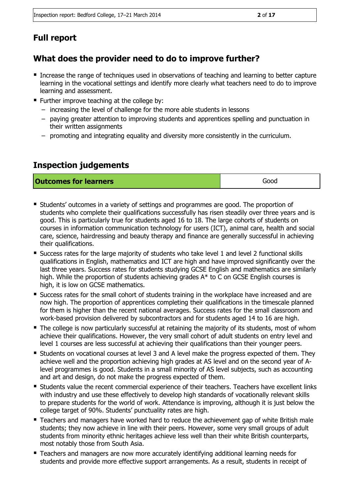### **Full report**

### **What does the provider need to do to improve further?**

- **Increase the range of techniques used in observations of teaching and learning to better capture** learning in the vocational settings and identify more clearly what teachers need to do to improve learning and assessment.
- **Further improve teaching at the college by:** 
	- increasing the level of challenge for the more able students in lessons
	- paying greater attention to improving students and apprentices spelling and punctuation in their written assignments
	- promoting and integrating equality and diversity more consistently in the curriculum.

### **Inspection judgements**

#### **Coutcomes for learners Good Coutcomes for learners**

 Students' outcomes in a variety of settings and programmes are good. The proportion of students who complete their qualifications successfully has risen steadily over three years and is good. This is particularly true for students aged 16 to 18. The large cohorts of students on courses in information communication technology for users (ICT), animal care, health and social care, science, hairdressing and beauty therapy and finance are generally successful in achieving their qualifications.

- Success rates for the large majority of students who take level 1 and level 2 functional skills qualifications in English, mathematics and ICT are high and have improved significantly over the last three years. Success rates for students studying GCSE English and mathematics are similarly high. While the proportion of students achieving grades A\* to C on GCSE English courses is high, it is low on GCSE mathematics.
- Success rates for the small cohort of students training in the workplace have increased and are now high. The proportion of apprentices completing their qualifications in the timescale planned for them is higher than the recent national averages. Success rates for the small classroom and work-based provision delivered by subcontractors and for students aged 14 to 16 are high.
- The college is now particularly successful at retaining the majority of its students, most of whom achieve their qualifications. However, the very small cohort of adult students on entry level and level 1 courses are less successful at achieving their qualifications than their younger peers.
- **Students on vocational courses at level 3 and A level make the progress expected of them. They** achieve well and the proportion achieving high grades at AS level and on the second year of Alevel programmes is good. Students in a small minority of AS level subjects, such as accounting and art and design, do not make the progress expected of them.
- **EXTERCH Students value the recent commercial experience of their teachers. Teachers have excellent links** with industry and use these effectively to develop high standards of vocationally relevant skills to prepare students for the world of work. Attendance is improving, although it is just below the college target of 90%. Students' punctuality rates are high.
- Teachers and managers have worked hard to reduce the achievement gap of white British male students; they now achieve in line with their peers. However, some very small groups of adult students from minority ethnic heritages achieve less well than their white British counterparts, most notably those from South Asia.
- Teachers and managers are now more accurately identifying additional learning needs for students and provide more effective support arrangements. As a result, students in receipt of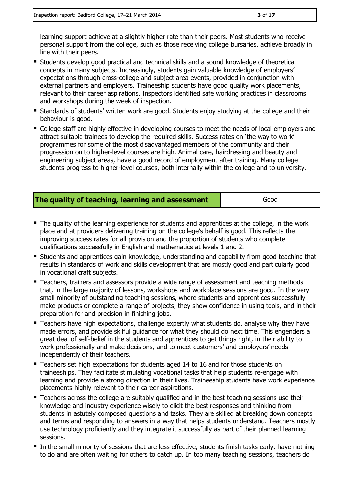learning support achieve at a slightly higher rate than their peers. Most students who receive personal support from the college, such as those receiving college bursaries, achieve broadly in line with their peers.

- Students develop good practical and technical skills and a sound knowledge of theoretical concepts in many subjects. Increasingly, students gain valuable knowledge of employers' expectations through cross-college and subject area events, provided in conjunction with external partners and employers. Traineeship students have good quality work placements, relevant to their career aspirations. Inspectors identified safe working practices in classrooms and workshops during the week of inspection.
- Standards of students' written work are good. Students enjoy studying at the college and their behaviour is good.
- **College staff are highly effective in developing courses to meet the needs of local employers and** attract suitable trainees to develop the required skills. Success rates on 'the way to work' programmes for some of the most disadvantaged members of the community and their progression on to higher-level courses are high. Animal care, hairdressing and beauty and engineering subject areas, have a good record of employment after training. Many college students progress to higher-level courses, both internally within the college and to university.

#### **The quality of teaching, learning and assessment Figure 4 Good**

- The quality of the learning experience for students and apprentices at the college, in the work place and at providers delivering training on the college's behalf is good. This reflects the improving success rates for all provision and the proportion of students who complete qualifications successfully in English and mathematics at levels 1 and 2.
- Students and apprentices gain knowledge, understanding and capability from good teaching that results in standards of work and skills development that are mostly good and particularly good in vocational craft subjects.
- Teachers, trainers and assessors provide a wide range of assessment and teaching methods that, in the large majority of lessons, workshops and workplace sessions are good. In the very small minority of outstanding teaching sessions, where students and apprentices successfully make products or complete a range of projects, they show confidence in using tools, and in their preparation for and precision in finishing jobs.
- **Teachers have high expectations, challenge expertly what students do, analyse why they have** made errors, and provide skilful guidance for what they should do next time. This engenders a great deal of self-belief in the students and apprentices to get things right, in their ability to work professionally and make decisions, and to meet customers' and employers' needs independently of their teachers.
- Teachers set high expectations for students aged 14 to 16 and for those students on traineeships. They facilitate stimulating vocational tasks that help students re-engage with learning and provide a strong direction in their lives. Traineeship students have work experience placements highly relevant to their career aspirations.
- **Teachers across the college are suitably qualified and in the best teaching sessions use their** knowledge and industry experience wisely to elicit the best responses and thinking from students in astutely composed questions and tasks. They are skilled at breaking down concepts and terms and responding to answers in a way that helps students understand. Teachers mostly use technology proficiently and they integrate it successfully as part of their planned learning sessions.
- In the small minority of sessions that are less effective, students finish tasks early, have nothing to do and are often waiting for others to catch up. In too many teaching sessions, teachers do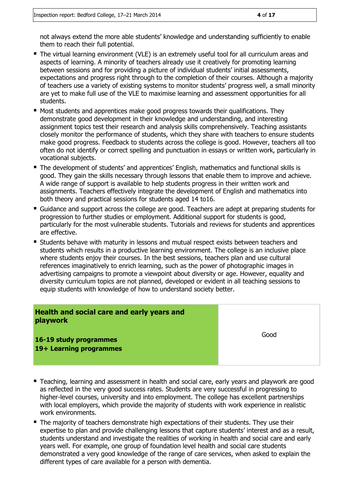not always extend the more able students' knowledge and understanding sufficiently to enable them to reach their full potential.

- The virtual learning environment (VLE) is an extremely useful tool for all curriculum areas and aspects of learning. A minority of teachers already use it creatively for promoting learning between sessions and for providing a picture of individual students' initial assessments, expectations and progress right through to the completion of their courses. Although a majority of teachers use a variety of existing systems to monitor students' progress well, a small minority are yet to make full use of the VLE to maximise learning and assessment opportunities for all students.
- Most students and apprentices make good progress towards their qualifications. They demonstrate good development in their knowledge and understanding, and interesting assignment topics test their research and analysis skills comprehensively. Teaching assistants closely monitor the performance of students, which they share with teachers to ensure students make good progress. Feedback to students across the college is good. However, teachers all too often do not identify or correct spelling and punctuation in essays or written work, particularly in vocational subjects.
- The development of students' and apprentices' English, mathematics and functional skills is good. They gain the skills necessary through lessons that enable them to improve and achieve. A wide range of support is available to help students progress in their written work and assignments. Teachers effectively integrate the development of English and mathematics into both theory and practical sessions for students aged 14 to16.
- Guidance and support across the college are good. Teachers are adept at preparing students for progression to further studies or employment. Additional support for students is good, particularly for the most vulnerable students. Tutorials and reviews for students and apprentices are effective.
- **Students behave with maturity in lessons and mutual respect exists between teachers and** students which results in a productive learning environment. The college is an inclusive place where students enjoy their courses. In the best sessions, teachers plan and use cultural references imaginatively to enrich learning, such as the power of photographic images in advertising campaigns to promote a viewpoint about diversity or age. However, equality and diversity curriculum topics are not planned, developed or evident in all teaching sessions to equip students with knowledge of how to understand society better.

#### **Health and social care and early years and playwork**

Good

**16-19 study programmes 19+ Learning programmes**

- **Teaching, learning and assessment in health and social care, early years and playwork are good** as reflected in the very good success rates. Students are very successful in progressing to higher-level courses, university and into employment. The college has excellent partnerships with local employers, which provide the majority of students with work experience in realistic work environments.
- **The majority of teachers demonstrate high expectations of their students. They use their** expertise to plan and provide challenging lessons that capture students' interest and as a result, students understand and investigate the realities of working in health and social care and early years well. For example, one group of foundation level health and social care students demonstrated a very good knowledge of the range of care services, when asked to explain the different types of care available for a person with dementia.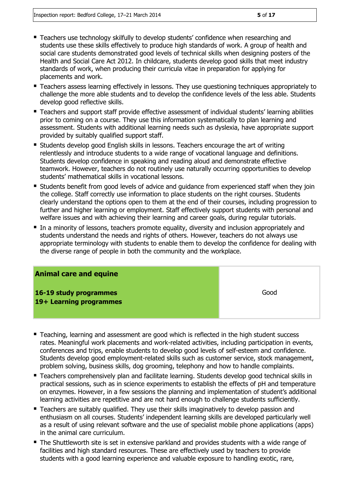- Teachers use technology skilfully to develop students' confidence when researching and students use these skills effectively to produce high standards of work. A group of health and social care students demonstrated good levels of technical skills when designing posters of the Health and Social Care Act 2012. In childcare, students develop good skills that meet industry standards of work, when producing their curricula vitae in preparation for applying for placements and work.
- **Teachers assess learning effectively in lessons. They use questioning techniques appropriately to** challenge the more able students and to develop the confidence levels of the less able. Students develop good reflective skills.
- Teachers and support staff provide effective assessment of individual students' learning abilities prior to coming on a course. They use this information systematically to plan learning and assessment. Students with additional learning needs such as dyslexia, have appropriate support provided by suitably qualified support staff.
- **Students develop good English skills in lessons. Teachers encourage the art of writing** relentlessly and introduce students to a wide range of vocational language and definitions. Students develop confidence in speaking and reading aloud and demonstrate effective teamwork. However, teachers do not routinely use naturally occurring opportunities to develop students' mathematical skills in vocational lessons.
- Students benefit from good levels of advice and guidance from experienced staff when they join the college. Staff correctly use information to place students on the right courses. Students clearly understand the options open to them at the end of their courses, including progression to further and higher learning or employment. Staff effectively support students with personal and welfare issues and with achieving their learning and career goals, during regular tutorials.
- In a minority of lessons, teachers promote equality, diversity and inclusion appropriately and students understand the needs and rights of others. However, teachers do not always use appropriate terminology with students to enable them to develop the confidence for dealing with the diverse range of people in both the community and the workplace.

| <b>Animal care and equine</b>                     |      |
|---------------------------------------------------|------|
| 16-19 study programmes<br>19+ Learning programmes | Good |

- Teaching, learning and assessment are good which is reflected in the high student success rates. Meaningful work placements and work-related activities, including participation in events, conferences and trips, enable students to develop good levels of self-esteem and confidence. Students develop good employment-related skills such as customer service, stock management, problem solving, business skills, dog grooming, telephony and how to handle complaints.
- Teachers comprehensively plan and facilitate learning. Students develop good technical skills in practical sessions, such as in science experiments to establish the effects of pH and temperature on enzymes. However, in a few sessions the planning and implementation of student's additional learning activities are repetitive and are not hard enough to challenge students sufficiently.
- **Teachers are suitably qualified. They use their skills imaginatively to develop passion and** enthusiasm on all courses. Students' independent learning skills are developed particularly well as a result of using relevant software and the use of specialist mobile phone applications (apps) in the animal care curriculum.
- The Shuttleworth site is set in extensive parkland and provides students with a wide range of facilities and high standard resources. These are effectively used by teachers to provide students with a good learning experience and valuable exposure to handling exotic, rare,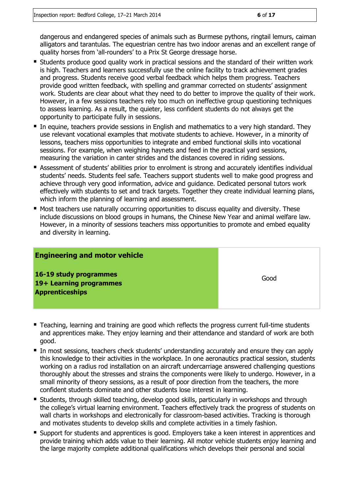dangerous and endangered species of animals such as Burmese pythons, ringtail lemurs, caiman alligators and tarantulas. The equestrian centre has two indoor arenas and an excellent range of quality horses from 'all-rounders' to a Prix St George dressage horse.

- Students produce good quality work in practical sessions and the standard of their written work is high. Teachers and learners successfully use the online facility to track achievement grades and progress. Students receive good verbal feedback which helps them progress. Teachers provide good written feedback, with spelling and grammar corrected on students' assignment work. Students are clear about what they need to do better to improve the quality of their work. However, in a few sessions teachers rely too much on ineffective group questioning techniques to assess learning. As a result, the quieter, less confident students do not always get the opportunity to participate fully in sessions.
- In equine, teachers provide sessions in English and mathematics to a very high standard. They use relevant vocational examples that motivate students to achieve. However, in a minority of lessons, teachers miss opportunities to integrate and embed functional skills into vocational sessions. For example, when weighing haynets and feed in the practical yard sessions, measuring the variation in canter strides and the distances covered in riding sessions.
- Assessment of students' abilities prior to enrolment is strong and accurately identifies individual students' needs. Students feel safe. Teachers support students well to make good progress and achieve through very good information, advice and guidance. Dedicated personal tutors work effectively with students to set and track targets. Together they create individual learning plans, which inform the planning of learning and assessment.
- **Most teachers use naturally occurring opportunities to discuss equality and diversity. These** include discussions on blood groups in humans, the Chinese New Year and animal welfare law. However, in a minority of sessions teachers miss opportunities to promote and embed equality and diversity in learning.

| <b>Engineering and motor vehicle</b>                                        |      |
|-----------------------------------------------------------------------------|------|
| 16-19 study programmes<br>19+ Learning programmes<br><b>Apprenticeships</b> | Good |

- Teaching, learning and training are good which reflects the progress current full-time students and apprentices make. They enjoy learning and their attendance and standard of work are both good.
- In most sessions, teachers check students' understanding accurately and ensure they can apply this knowledge to their activities in the workplace. In one aeronautics practical session, students working on a radius rod installation on an aircraft undercarriage answered challenging questions thoroughly about the stresses and strains the components were likely to undergo. However, in a small minority of theory sessions, as a result of poor direction from the teachers, the more confident students dominate and other students lose interest in learning.
- **Students, through skilled teaching, develop good skills, particularly in workshops and through** the college's virtual learning environment. Teachers effectively track the progress of students on wall charts in workshops and electronically for classroom-based activities. Tracking is thorough and motivates students to develop skills and complete activities in a timely fashion.
- **Support for students and apprentices is good. Employers take a keen interest in apprentices and** provide training which adds value to their learning. All motor vehicle students enjoy learning and the large majority complete additional qualifications which develops their personal and social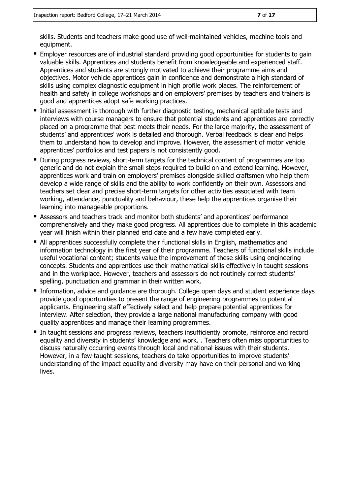skills. Students and teachers make good use of well-maintained vehicles, machine tools and equipment.

- **Employer resources are of industrial standard providing good opportunities for students to gain** valuable skills. Apprentices and students benefit from knowledgeable and experienced staff. Apprentices and students are strongly motivated to achieve their programme aims and objectives. Motor vehicle apprentices gain in confidence and demonstrate a high standard of skills using complex diagnostic equipment in high profile work places. The reinforcement of health and safety in college workshops and on employers' premises by teachers and trainers is good and apprentices adopt safe working practices.
- Initial assessment is thorough with further diagnostic testing, mechanical aptitude tests and interviews with course managers to ensure that potential students and apprentices are correctly placed on a programme that best meets their needs. For the large majority, the assessment of students' and apprentices' work is detailed and thorough. Verbal feedback is clear and helps them to understand how to develop and improve. However, the assessment of motor vehicle apprentices' portfolios and test papers is not consistently good.
- During progress reviews, short-term targets for the technical content of programmes are too generic and do not explain the small steps required to build on and extend learning. However, apprentices work and train on employers' premises alongside skilled craftsmen who help them develop a wide range of skills and the ability to work confidently on their own. Assessors and teachers set clear and precise short-term targets for other activities associated with team working, attendance, punctuality and behaviour, these help the apprentices organise their learning into manageable proportions.
- Assessors and teachers track and monitor both students' and apprentices' performance comprehensively and they make good progress. All apprentices due to complete in this academic year will finish within their planned end date and a few have completed early.
- All apprentices successfully complete their functional skills in English, mathematics and information technology in the first year of their programme. Teachers of functional skills include useful vocational content; students value the improvement of these skills using engineering concepts. Students and apprentices use their mathematical skills effectively in taught sessions and in the workplace. However, teachers and assessors do not routinely correct students' spelling, punctuation and grammar in their written work.
- Information, advice and guidance are thorough. College open days and student experience days provide good opportunities to present the range of engineering programmes to potential applicants. Engineering staff effectively select and help prepare potential apprentices for interview. After selection, they provide a large national manufacturing company with good quality apprentices and manage their learning programmes.
- In taught sessions and progress reviews, teachers insufficiently promote, reinforce and record equality and diversity in students' knowledge and work. . Teachers often miss opportunities to discuss naturally occurring events through local and national issues with their students. However, in a few taught sessions, teachers do take opportunities to improve students' understanding of the impact equality and diversity may have on their personal and working lives.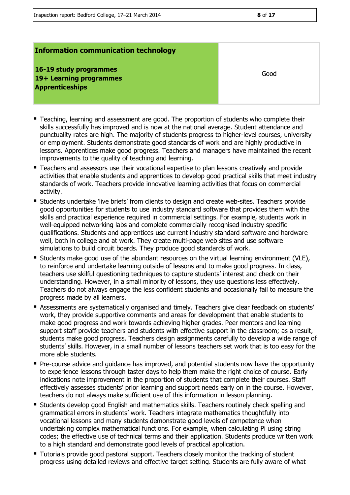| <b>Information communication technology</b>                                 |      |
|-----------------------------------------------------------------------------|------|
| 16-19 study programmes<br>19+ Learning programmes<br><b>Apprenticeships</b> | Good |

- Teaching, learning and assessment are good. The proportion of students who complete their skills successfully has improved and is now at the national average. Student attendance and punctuality rates are high. The majority of students progress to higher-level courses, university or employment. Students demonstrate good standards of work and are highly productive in lessons. Apprentices make good progress. Teachers and managers have maintained the recent improvements to the quality of teaching and learning.
- **Teachers and assessors use their vocational expertise to plan lessons creatively and provide** activities that enable students and apprentices to develop good practical skills that meet industry standards of work. Teachers provide innovative learning activities that focus on commercial activity.
- Students undertake 'live briefs' from clients to design and create web-sites. Teachers provide good opportunities for students to use industry standard software that provides them with the skills and practical experience required in commercial settings. For example, students work in well-equipped networking labs and complete commercially recognised industry specific qualifications. Students and apprentices use current industry standard software and hardware well, both in college and at work. They create multi-page web sites and use software simulations to build circuit boards. They produce good standards of work.
- Students make good use of the abundant resources on the virtual learning environment (VLE), to reinforce and undertake learning outside of lessons and to make good progress. In class, teachers use skilful questioning techniques to capture students' interest and check on their understanding. However, in a small minority of lessons, they use questions less effectively. Teachers do not always engage the less confident students and occasionally fail to measure the progress made by all learners.
- Assessments are systematically organised and timely. Teachers give clear feedback on students' work, they provide supportive comments and areas for development that enable students to make good progress and work towards achieving higher grades. Peer mentors and learning support staff provide teachers and students with effective support in the classroom; as a result, students make good progress. Teachers design assignments carefully to develop a wide range of students' skills. However, in a small number of lessons teachers set work that is too easy for the more able students.
- **Pre-course advice and guidance has improved, and potential students now have the opportunity** to experience lessons through taster days to help them make the right choice of course. Early indications note improvement in the proportion of students that complete their courses. Staff effectively assesses students' prior learning and support needs early on in the course. However, teachers do not always make sufficient use of this information in lesson planning.
- Students develop good English and mathematics skills. Teachers routinely check spelling and grammatical errors in students' work. Teachers integrate mathematics thoughtfully into vocational lessons and many students demonstrate good levels of competence when undertaking complex mathematical functions. For example, when calculating Pi using string codes; the effective use of technical terms and their application. Students produce written work to a high standard and demonstrate good levels of practical application.
- **Tutorials provide good pastoral support. Teachers closely monitor the tracking of student** progress using detailed reviews and effective target setting. Students are fully aware of what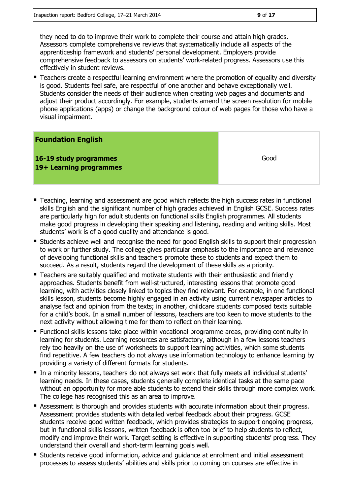they need to do to improve their work to complete their course and attain high grades. Assessors complete comprehensive reviews that systematically include all aspects of the apprenticeship framework and students' personal development. Employers provide comprehensive feedback to assessors on students' work-related progress. Assessors use this effectively in student reviews.

**Teachers create a respectful learning environment where the promotion of equality and diversity** is good. Students feel safe, are respectful of one another and behave exceptionally well. Students consider the needs of their audience when creating web pages and documents and adjust their product accordingly. For example, students amend the screen resolution for mobile phone applications (apps) or change the background colour of web pages for those who have a visual impairment.

### **Foundation English 16-19 study programmes 19+ Learning programmes** Good

- Teaching, learning and assessment are good which reflects the high success rates in functional skills English and the significant number of high grades achieved in English GCSE. Success rates are particularly high for adult students on functional skills English programmes. All students make good progress in developing their speaking and listening, reading and writing skills. Most students' work is of a good quality and attendance is good.
- **E** Students achieve well and recognise the need for good English skills to support their progression to work or further study. The college gives particular emphasis to the importance and relevance of developing functional skills and teachers promote these to students and expect them to succeed. As a result, students regard the development of these skills as a priority.
- Teachers are suitably qualified and motivate students with their enthusiastic and friendly approaches. Students benefit from well-structured, interesting lessons that promote good learning, with activities closely linked to topics they find relevant. For example, in one functional skills lesson, students become highly engaged in an activity using current newspaper articles to analyse fact and opinion from the texts; in another, childcare students composed texts suitable for a child's book. In a small number of lessons, teachers are too keen to move students to the next activity without allowing time for them to reflect on their learning.
- Functional skills lessons take place within vocational programme areas, providing continuity in learning for students. Learning resources are satisfactory, although in a few lessons teachers rely too heavily on the use of worksheets to support learning activities, which some students find repetitive. A few teachers do not always use information technology to enhance learning by providing a variety of different formats for students.
- In a minority lessons, teachers do not always set work that fully meets all individual students' learning needs. In these cases, students generally complete identical tasks at the same pace without an opportunity for more able students to extend their skills through more complex work. The college has recognised this as an area to improve.
- **Assessment is thorough and provides students with accurate information about their progress.** Assessment provides students with detailed verbal feedback about their progress. GCSE students receive good written feedback, which provides strategies to support ongoing progress, but in functional skills lessons, written feedback is often too brief to help students to reflect, modify and improve their work. Target setting is effective in supporting students' progress. They understand their overall and short-term learning goals well.
- **Students receive good information, advice and quidance at enrolment and initial assessment** processes to assess students' abilities and skills prior to coming on courses are effective in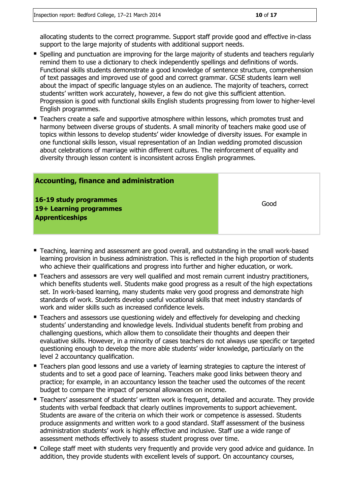allocating students to the correct programme. Support staff provide good and effective in-class support to the large majority of students with additional support needs.

- **Spelling and punctuation are improving for the large majority of students and teachers regularly** remind them to use a dictionary to check independently spellings and definitions of words. Functional skills students demonstrate a good knowledge of sentence structure, comprehension of text passages and improved use of good and correct grammar. GCSE students learn well about the impact of specific language styles on an audience. The majority of teachers, correct students' written work accurately, however, a few do not give this sufficient attention. Progression is good with functional skills English students progressing from lower to higher-level English programmes.
- **Teachers create a safe and supportive atmosphere within lessons, which promotes trust and** harmony between diverse groups of students. A small minority of teachers make good use of topics within lessons to develop students' wider knowledge of diversity issues. For example in one functional skills lesson, visual representation of an Indian wedding promoted discussion about celebrations of marriage within different cultures. The reinforcement of equality and diversity through lesson content is inconsistent across English programmes.

| <b>Accounting, finance and administration</b>                               |      |
|-----------------------------------------------------------------------------|------|
| 16-19 study programmes<br>19+ Learning programmes<br><b>Apprenticeships</b> | Good |

- Teaching, learning and assessment are good overall, and outstanding in the small work-based learning provision in business administration. This is reflected in the high proportion of students who achieve their qualifications and progress into further and higher education, or work.
- Teachers and assessors are very well qualified and most remain current industry practitioners, which benefits students well. Students make good progress as a result of the high expectations set. In work-based learning, many students make very good progress and demonstrate high standards of work. Students develop useful vocational skills that meet industry standards of work and wider skills such as increased confidence levels.
- **Teachers and assessors use questioning widely and effectively for developing and checking** students' understanding and knowledge levels. Individual students benefit from probing and challenging questions, which allow them to consolidate their thoughts and deepen their evaluative skills. However, in a minority of cases teachers do not always use specific or targeted questioning enough to develop the more able students' wider knowledge, particularly on the level 2 accountancy qualification.
- Teachers plan good lessons and use a variety of learning strategies to capture the interest of students and to set a good pace of learning. Teachers make good links between theory and practice; for example, in an accountancy lesson the teacher used the outcomes of the recent budget to compare the impact of personal allowances on income.
- **Teachers' assessment of students' written work is frequent, detailed and accurate. They provide** students with verbal feedback that clearly outlines improvements to support achievement. Students are aware of the criteria on which their work or competence is assessed. Students produce assignments and written work to a good standard. Staff assessment of the business administration students' work is highly effective and inclusive. Staff use a wide range of assessment methods effectively to assess student progress over time.
- College staff meet with students very frequently and provide very good advice and guidance. In addition, they provide students with excellent levels of support. On accountancy courses,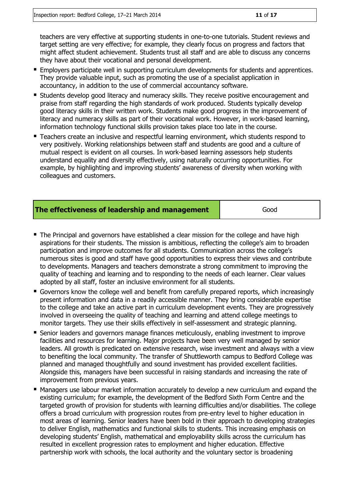teachers are very effective at supporting students in one-to-one tutorials. Student reviews and target setting are very effective; for example, they clearly focus on progress and factors that might affect student achievement. Students trust all staff and are able to discuss any concerns they have about their vocational and personal development.

- **Employers participate well in supporting curriculum developments for students and apprentices.** They provide valuable input, such as promoting the use of a specialist application in accountancy, in addition to the use of commercial accountancy software.
- **Students develop good literacy and numeracy skills. They receive positive encouragement and** praise from staff regarding the high standards of work produced. Students typically develop good literacy skills in their written work. Students make good progress in the improvement of literacy and numeracy skills as part of their vocational work. However, in work-based learning, information technology functional skills provision takes place too late in the course.
- Teachers create an inclusive and respectful learning environment, which students respond to very positively. Working relationships between staff and students are good and a culture of mutual respect is evident on all courses. In work-based learning assessors help students understand equality and diversity effectively, using naturally occurring opportunities. For example, by highlighting and improving students' awareness of diversity when working with colleagues and customers.

| The effectiveness of leadership and management | Good |
|------------------------------------------------|------|
|------------------------------------------------|------|

- The Principal and governors have established a clear mission for the college and have high aspirations for their students. The mission is ambitious, reflecting the college's aim to broaden participation and improve outcomes for all students. Communication across the college's numerous sites is good and staff have good opportunities to express their views and contribute to developments. Managers and teachers demonstrate a strong commitment to improving the quality of teaching and learning and to responding to the needs of each learner. Clear values adopted by all staff, foster an inclusive environment for all students.
- Governors know the college well and benefit from carefully prepared reports, which increasingly present information and data in a readily accessible manner. They bring considerable expertise to the college and take an active part in curriculum development events. They are progressively involved in overseeing the quality of teaching and learning and attend college meetings to monitor targets. They use their skills effectively in self-assessment and strategic planning.
- Senior leaders and governors manage finances meticulously, enabling investment to improve facilities and resources for learning. Major projects have been very well managed by senior leaders. All growth is predicated on extensive research, wise investment and always with a view to benefiting the local community. The transfer of Shuttleworth campus to Bedford College was planned and managed thoughtfully and sound investment has provided excellent facilities. Alongside this, managers have been successful in raising standards and increasing the rate of improvement from previous years.
- **Managers use labour market information accurately to develop a new curriculum and expand the** existing curriculum; for example, the development of the Bedford Sixth Form Centre and the targeted growth of provision for students with learning difficulties and/or disabilities. The college offers a broad curriculum with progression routes from pre-entry level to higher education in most areas of learning. Senior leaders have been bold in their approach to developing strategies to deliver English, mathematics and functional skills to students. This increasing emphasis on developing students' English, mathematical and employability skills across the curriculum has resulted in excellent progression rates to employment and higher education. Effective partnership work with schools, the local authority and the voluntary sector is broadening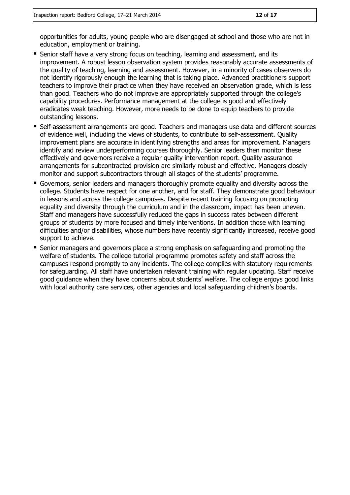opportunities for adults, young people who are disengaged at school and those who are not in education, employment or training.

- **Senior staff have a very strong focus on teaching, learning and assessment, and its** improvement. A robust lesson observation system provides reasonably accurate assessments of the quality of teaching, learning and assessment. However, in a minority of cases observers do not identify rigorously enough the learning that is taking place. Advanced practitioners support teachers to improve their practice when they have received an observation grade, which is less than good. Teachers who do not improve are appropriately supported through the college's capability procedures. Performance management at the college is good and effectively eradicates weak teaching. However, more needs to be done to equip teachers to provide outstanding lessons.
- Self-assessment arrangements are good. Teachers and managers use data and different sources of evidence well, including the views of students, to contribute to self-assessment. Quality improvement plans are accurate in identifying strengths and areas for improvement. Managers identify and review underperforming courses thoroughly. Senior leaders then monitor these effectively and governors receive a regular quality intervention report. Quality assurance arrangements for subcontracted provision are similarly robust and effective. Managers closely monitor and support subcontractors through all stages of the students' programme.
- Governors, senior leaders and managers thoroughly promote equality and diversity across the college. Students have respect for one another, and for staff. They demonstrate good behaviour in lessons and across the college campuses. Despite recent training focusing on promoting equality and diversity through the curriculum and in the classroom, impact has been uneven. Staff and managers have successfully reduced the gaps in success rates between different groups of students by more focused and timely interventions. In addition those with learning difficulties and/or disabilities, whose numbers have recently significantly increased, receive good support to achieve.
- Senior managers and governors place a strong emphasis on safeguarding and promoting the welfare of students. The college tutorial programme promotes safety and staff across the campuses respond promptly to any incidents. The college complies with statutory requirements for safeguarding. All staff have undertaken relevant training with regular updating. Staff receive good guidance when they have concerns about students' welfare. The college enjoys good links with local authority care services, other agencies and local safeguarding children's boards.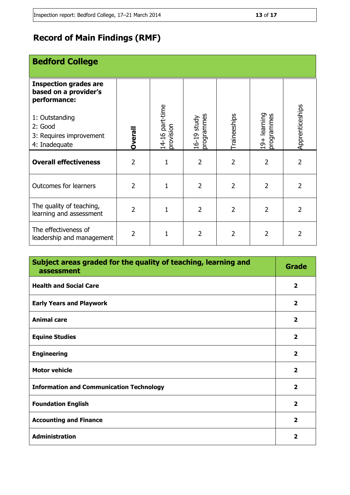### **Record of Main Findings (RMF)**

| <b>Bedford College</b>                                                                                                                         |                |                              |                           |                |                            |                 |
|------------------------------------------------------------------------------------------------------------------------------------------------|----------------|------------------------------|---------------------------|----------------|----------------------------|-----------------|
| <b>Inspection grades are</b><br>based on a provider's<br>performance:<br>1: Outstanding<br>2: Good<br>3: Requires improvement<br>4: Inadequate | <b>Dverall</b> | 14-16 part-time<br>provision | 16-19 study<br>programmes | Traineeships   | 19+ learning<br>programmes | Apprenticeships |
| <b>Overall effectiveness</b>                                                                                                                   | $\overline{2}$ | 1                            | $\overline{2}$            | $\overline{2}$ | $\overline{2}$             | $\overline{2}$  |
| <b>Outcomes for learners</b>                                                                                                                   | $\overline{2}$ | 1                            | $\overline{2}$            | $\overline{2}$ | $\overline{2}$             | $\overline{2}$  |
| The quality of teaching,<br>learning and assessment                                                                                            | $\overline{2}$ | 1                            | $\overline{2}$            | $\overline{2}$ | $\overline{2}$             | $\overline{2}$  |
| The effectiveness of<br>leadership and management                                                                                              | $\overline{2}$ | 1                            | $\overline{2}$            | $\overline{2}$ | $\overline{2}$             | $\overline{2}$  |

| Subject areas graded for the quality of teaching, learning and<br>assessment | Grade                   |
|------------------------------------------------------------------------------|-------------------------|
| <b>Health and Social Care</b>                                                | $\overline{2}$          |
| <b>Early Years and Playwork</b>                                              | $\overline{2}$          |
| <b>Animal care</b>                                                           | $\overline{2}$          |
| <b>Equine Studies</b>                                                        | $\overline{2}$          |
| <b>Engineering</b>                                                           | $\overline{\mathbf{2}}$ |
| <b>Motor vehicle</b>                                                         | $\overline{2}$          |
| <b>Information and Communication Technology</b>                              | $\overline{\mathbf{2}}$ |
| <b>Foundation English</b>                                                    | $\overline{2}$          |
| <b>Accounting and Finance</b>                                                | $\overline{\mathbf{2}}$ |
| <b>Administration</b>                                                        | $\overline{2}$          |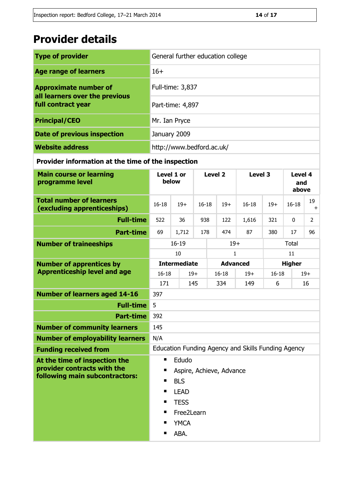## **Provider details**

| <b>Type of provider</b>                                                              | General further education college |
|--------------------------------------------------------------------------------------|-----------------------------------|
| <b>Age range of learners</b>                                                         | $16+$                             |
| <b>Approximate number of</b><br>all learners over the previous<br>full contract year | Full-time: 3,837                  |
|                                                                                      | Part-time: 4,897                  |
| <b>Principal/CEO</b>                                                                 | Mr. Ian Pryce                     |
| <b>Date of previous inspection</b>                                                   | January 2009                      |
| <b>Website address</b>                                                               | http://www.bedford.ac.uk/         |

#### **Provider information at the time of the inspection**

| <b>Main course or learning</b><br>programme level              | Level 1 or<br>below                                |                     | Level 2   |     | Level 3         |           | Level 4<br>and<br>above |               |                |  |
|----------------------------------------------------------------|----------------------------------------------------|---------------------|-----------|-----|-----------------|-----------|-------------------------|---------------|----------------|--|
| <b>Total number of learners</b><br>(excluding apprenticeships) | $16 - 18$                                          | $19+$               | $16 - 18$ |     | $19+$           | $16 - 18$ | $19+$                   | $16 - 18$     | 19<br>$+$      |  |
| <b>Full-time</b>                                               | 522                                                | 36                  | 938       |     | 122             | 1,616     | 321                     | $\mathbf 0$   | $\overline{2}$ |  |
| <b>Part-time</b>                                               | 69                                                 | 1,712               | 178       |     | 474             | 87        | 380                     | 17            | 96             |  |
| <b>Number of traineeships</b>                                  |                                                    | $16 - 19$           |           |     | $19+$           |           |                         | <b>Total</b>  |                |  |
|                                                                |                                                    | 10                  |           |     | $\mathbf{1}$    |           |                         | 11            |                |  |
| <b>Number of apprentices by</b>                                |                                                    | <b>Intermediate</b> |           |     | <b>Advanced</b> |           |                         | <b>Higher</b> |                |  |
| <b>Apprenticeship level and age</b>                            | $16 - 18$                                          |                     | $19+$     |     | $16 - 18$       | $19+$     | $16 - 18$               |               | $19+$          |  |
|                                                                | 171                                                |                     | 145       | 334 |                 | 149       | 6                       |               | 16             |  |
| <b>Number of learners aged 14-16</b>                           | 397                                                |                     |           |     |                 |           |                         |               |                |  |
| <b>Full-time</b>                                               | 5                                                  |                     |           |     |                 |           |                         |               |                |  |
| <b>Part-time</b>                                               | 392                                                |                     |           |     |                 |           |                         |               |                |  |
| <b>Number of community learners</b>                            | 145                                                |                     |           |     |                 |           |                         |               |                |  |
| <b>Number of employability learners</b>                        | N/A                                                |                     |           |     |                 |           |                         |               |                |  |
| <b>Funding received from</b>                                   | Education Funding Agency and Skills Funding Agency |                     |           |     |                 |           |                         |               |                |  |
| At the time of inspection the                                  | $\blacksquare$                                     | Edudo               |           |     |                 |           |                         |               |                |  |
| provider contracts with the                                    | Aspire, Achieve, Advance<br>п                      |                     |           |     |                 |           |                         |               |                |  |
| following main subcontractors:                                 | <b>BLS</b><br>п                                    |                     |           |     |                 |           |                         |               |                |  |
|                                                                | п                                                  | <b>LEAD</b>         |           |     |                 |           |                         |               |                |  |
|                                                                | ٠                                                  | <b>TESS</b>         |           |     |                 |           |                         |               |                |  |
|                                                                | Free2Learn<br>п                                    |                     |           |     |                 |           |                         |               |                |  |
|                                                                | п                                                  | <b>YMCA</b>         |           |     |                 |           |                         |               |                |  |
|                                                                | п                                                  | ABA.                |           |     |                 |           |                         |               |                |  |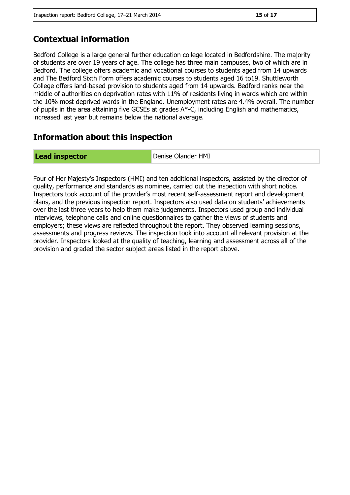#### **Contextual information**

Bedford College is a large general further education college located in Bedfordshire. The majority of students are over 19 years of age. The college has three main campuses, two of which are in Bedford. The college offers academic and vocational courses to students aged from 14 upwards and The Bedford Sixth Form offers academic courses to students aged 16 to19. Shuttleworth College offers land-based provision to students aged from 14 upwards. Bedford ranks near the middle of authorities on deprivation rates with 11% of residents living in wards which are within the 10% most deprived wards in the England. Unemployment rates are 4.4% overall. The number of pupils in the area attaining five GCSEs at grades A\*-C, including English and mathematics, increased last year but remains below the national average.

#### **Information about this inspection**

**Lead inspector** Denise Olander HMI

Four of Her Majesty's Inspectors (HMI) and ten additional inspectors, assisted by the director of quality, performance and standards as nominee, carried out the inspection with short notice. Inspectors took account of the provider's most recent self-assessment report and development plans, and the previous inspection report. Inspectors also used data on students' achievements over the last three years to help them make judgements. Inspectors used group and individual interviews, telephone calls and online questionnaires to gather the views of students and employers; these views are reflected throughout the report. They observed learning sessions, assessments and progress reviews. The inspection took into account all relevant provision at the provider. Inspectors looked at the quality of teaching, learning and assessment across all of the provision and graded the sector subject areas listed in the report above.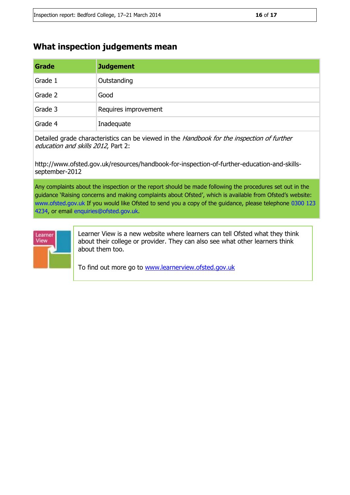### **What inspection judgements mean**

| Grade   | <b>Judgement</b>     |
|---------|----------------------|
| Grade 1 | Outstanding          |
| Grade 2 | Good                 |
| Grade 3 | Requires improvement |
| Grade 4 | Inadequate           |

Detailed grade characteristics can be viewed in the Handbook for the inspection of further education and skills 2012, Part 2:

http://www.ofsted.gov.uk/resources/handbook-for-inspection-of-further-education-and-skillsseptember-2012

Any complaints about the inspection or the report should be made following the procedures set out in the guidance 'Raising concerns and making complaints about Ofsted', which is available from Ofsted's website: www.ofsted.gov.uk If you would like Ofsted to send you a copy of the guidance, please telephone 0300 123 4234, or email enquiries@ofsted.gov.uk.



Learner View is a new website where learners can tell Ofsted what they think about their college or provider. They can also see what other learners think about them too.

To find out more go to [www.learnerview.ofsted.gov.uk](http://www.learnerview.ofsted.gov.uk/)